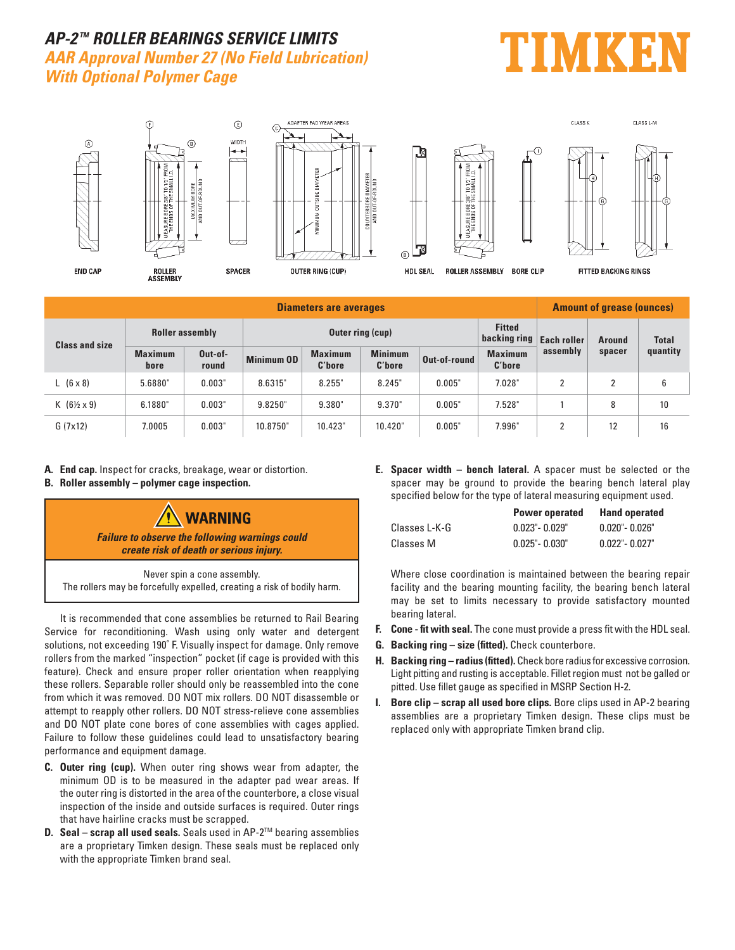## **AP-2 TM ROLLER BEARINGS SERVICE LIMITS AAR Approval Number 27 (No Field Lubrication) With Optional Polymer Cage**





| <b>Diameters are averages</b> |                        |                  |                         |                          |                          |              |                                             | <b>Amount of grease (ounces)</b> |               |              |
|-------------------------------|------------------------|------------------|-------------------------|--------------------------|--------------------------|--------------|---------------------------------------------|----------------------------------|---------------|--------------|
| <b>Class and size</b>         | <b>Roller assembly</b> |                  | <b>Outer ring (cup)</b> |                          |                          |              | <b>Fitted</b><br>backing ring   Each roller |                                  | <b>Around</b> | <b>Total</b> |
|                               | <b>Maximum</b><br>bore | Out-of-<br>round | <b>Minimum OD</b>       | <b>Maximum</b><br>C'hore | <b>Minimum</b><br>C'hore | Out-of-round | <b>Maximum</b><br>C'hore                    | assembly                         | spacer        | quantity     |
| $L(6 \times 8)$               | 5.6880"                | 0.003"           | 8.6315"                 | 8.255"                   | 8.245"                   | 0.005"       | 7.028"                                      | റ                                | າ             | 6            |
| $K(6\frac{1}{2} \times 9)$    | 6.1880"                | 0.003"           | 9.8250"                 | 9.380"                   | 9.370"                   | 0.005"       | 7.528"                                      |                                  | 8             | 10           |
| G(7x12)                       | 7.0005                 | 0.003"           | 10.8750"                | 10.423"                  | 10.420"                  | 0.005"       | 7.996"                                      | ົ                                | 12            | 16           |

- **A. End cap.** Inspect for cracks, breakage, wear or distortion.
- **B. Roller assembly polymer cage inspection.**



Never spin a cone assembly. The rollers may be forcefully expelled, creating a risk of bodily harm.

 It is recommended that cone assemblies be returned to Rail Bearing Service for reconditioning. Wash using only water and detergent solutions, not exceeding 190˚ F. Visually inspect for damage. Only remove rollers from the marked "inspection" pocket (if cage is provided with this feature). Check and ensure proper roller orientation when reapplying these rollers. Separable roller should only be reassembled into the cone from which it was removed. DO NOT mix rollers. DO NOT disassemble or attempt to reapply other rollers. DO NOT stress-relieve cone assemblies and DO NOT plate cone bores of cone assemblies with cages applied. Failure to follow these guidelines could lead to unsatisfactory bearing performance and equipment damage.

- **C. Outer ring (cup).** When outer ring shows wear from adapter, the minimum OD is to be measured in the adapter pad wear areas. If the outer ring is distorted in the area of the counterbore, a close visual inspection of the inside and outside surfaces is required. Outer rings that have hairline cracks must be scrapped.
- **D.** Seal scrap all used seals. Seals used in AP-2<sup>™</sup> bearing assemblies are a proprietary Timken design. These seals must be replaced only with the appropriate Timken brand seal.

**E. Spacer width – bench lateral.** A spacer must be selected or the spacer may be ground to provide the bearing bench lateral play specified below for the type of lateral measuring equipment used.

|               | <b>Power operated</b> | <b>Hand operated</b> |
|---------------|-----------------------|----------------------|
| Classes L-K-G | $0.023"$ - $0.029"$   | $0.020"$ - 0.026"    |
| Classes M     | $0.025"$ - $0.030"$   | $0.022" - 0.027"$    |

 Where close coordination is maintained between the bearing repair facility and the bearing mounting facility, the bearing bench lateral may be set to limits necessary to provide satisfactory mounted bearing lateral.

- **F. Cone fit with seal.** The cone must provide a press fit with the HDL seal.
- **G. Backing ring size (fitted).** Check counterbore.
- **H. Backing ring radius (fitted).** Check bore radius for excessive corrosion. Light pitting and rusting is acceptable. Fillet region must not be galled or pitted. Use fillet gauge as specified in MSRP Section H-2.
- **I. Bore clip scrap all used bore clips.** Bore clips used in AP-2 bearing assemblies are a proprietary Timken design. These clips must be replaced only with appropriate Timken brand clip.